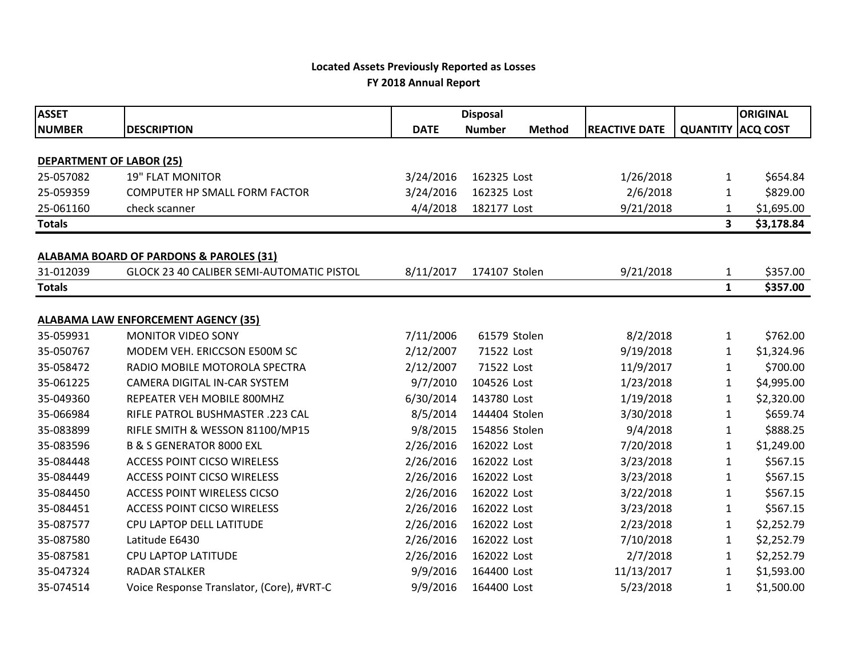## **Located Assets Previously Reported as Losses FY 2018 Annual Report**

| <b>ASSET</b>                    |                                                    | <b>Disposal</b> |               |               |                      |                 | <b>ORIGINAL</b> |
|---------------------------------|----------------------------------------------------|-----------------|---------------|---------------|----------------------|-----------------|-----------------|
| <b>NUMBER</b>                   | <b>DESCRIPTION</b>                                 | <b>DATE</b>     | <b>Number</b> | <b>Method</b> | <b>REACTIVE DATE</b> | <b>QUANTITY</b> | <b>ACQ COST</b> |
|                                 |                                                    |                 |               |               |                      |                 |                 |
| <b>DEPARTMENT OF LABOR (25)</b> |                                                    |                 |               |               |                      |                 |                 |
| 25-057082                       | <b>19" FLAT MONITOR</b>                            | 3/24/2016       | 162325 Lost   |               | 1/26/2018            | 1               | \$654.84        |
| 25-059359                       | <b>COMPUTER HP SMALL FORM FACTOR</b>               | 3/24/2016       | 162325 Lost   |               | 2/6/2018             | 1               | \$829.00        |
| 25-061160                       | check scanner                                      | 4/4/2018        | 182177 Lost   |               | 9/21/2018            | 1               | \$1,695.00      |
| <b>Totals</b>                   |                                                    |                 |               |               |                      | 3               | \$3,178.84      |
|                                 | <b>ALABAMA BOARD OF PARDONS &amp; PAROLES (31)</b> |                 |               |               |                      |                 |                 |
| 31-012039                       | GLOCK 23 40 CALIBER SEMI-AUTOMATIC PISTOL          | 8/11/2017       | 174107 Stolen |               | 9/21/2018            | 1               | \$357.00        |
| <b>Totals</b>                   |                                                    |                 |               |               |                      | $\mathbf{1}$    | \$357.00        |
|                                 |                                                    |                 |               |               |                      |                 |                 |
|                                 | <b>ALABAMA LAW ENFORCEMENT AGENCY (35)</b>         |                 |               |               |                      |                 |                 |
| 35-059931                       | <b>MONITOR VIDEO SONY</b>                          | 7/11/2006       | 61579 Stolen  |               | 8/2/2018             | $\mathbf{1}$    | \$762.00        |
| 35-050767                       | MODEM VEH. ERICCSON E500M SC                       | 2/12/2007       | 71522 Lost    |               | 9/19/2018            | 1               | \$1,324.96      |
| 35-058472                       | RADIO MOBILE MOTOROLA SPECTRA                      | 2/12/2007       | 71522 Lost    |               | 11/9/2017            | 1               | \$700.00        |
| 35-061225                       | CAMERA DIGITAL IN-CAR SYSTEM                       | 9/7/2010        | 104526 Lost   |               | 1/23/2018            | 1               | \$4,995.00      |
| 35-049360                       | REPEATER VEH MOBILE 800MHZ                         | 6/30/2014       | 143780 Lost   |               | 1/19/2018            | 1               | \$2,320.00      |
| 35-066984                       | RIFLE PATROL BUSHMASTER .223 CAL                   | 8/5/2014        | 144404 Stolen |               | 3/30/2018            | 1               | \$659.74        |
| 35-083899                       | RIFLE SMITH & WESSON 81100/MP15                    | 9/8/2015        | 154856 Stolen |               | 9/4/2018             | 1               | \$888.25        |
| 35-083596                       | <b>B &amp; S GENERATOR 8000 EXL</b>                | 2/26/2016       | 162022 Lost   |               | 7/20/2018            | 1               | \$1,249.00      |
| 35-084448                       | <b>ACCESS POINT CICSO WIRELESS</b>                 | 2/26/2016       | 162022 Lost   |               | 3/23/2018            | 1               | \$567.15        |
| 35-084449                       | <b>ACCESS POINT CICSO WIRELESS</b>                 | 2/26/2016       | 162022 Lost   |               | 3/23/2018            | 1               | \$567.15        |
| 35-084450                       | <b>ACCESS POINT WIRELESS CICSO</b>                 | 2/26/2016       | 162022 Lost   |               | 3/22/2018            | 1               | \$567.15        |
| 35-084451                       | <b>ACCESS POINT CICSO WIRELESS</b>                 | 2/26/2016       | 162022 Lost   |               | 3/23/2018            | 1               | \$567.15        |
| 35-087577                       | CPU LAPTOP DELL LATITUDE                           | 2/26/2016       | 162022 Lost   |               | 2/23/2018            | 1               | \$2,252.79      |
| 35-087580                       | Latitude E6430                                     | 2/26/2016       | 162022 Lost   |               | 7/10/2018            | 1               | \$2,252.79      |
| 35-087581                       | CPU LAPTOP LATITUDE                                | 2/26/2016       | 162022 Lost   |               | 2/7/2018             | 1               | \$2,252.79      |
| 35-047324                       | <b>RADAR STALKER</b>                               | 9/9/2016        | 164400 Lost   |               | 11/13/2017           | 1               | \$1,593.00      |
| 35-074514                       | Voice Response Translator, (Core), #VRT-C          | 9/9/2016        | 164400 Lost   |               | 5/23/2018            | $\mathbf{1}$    | \$1,500.00      |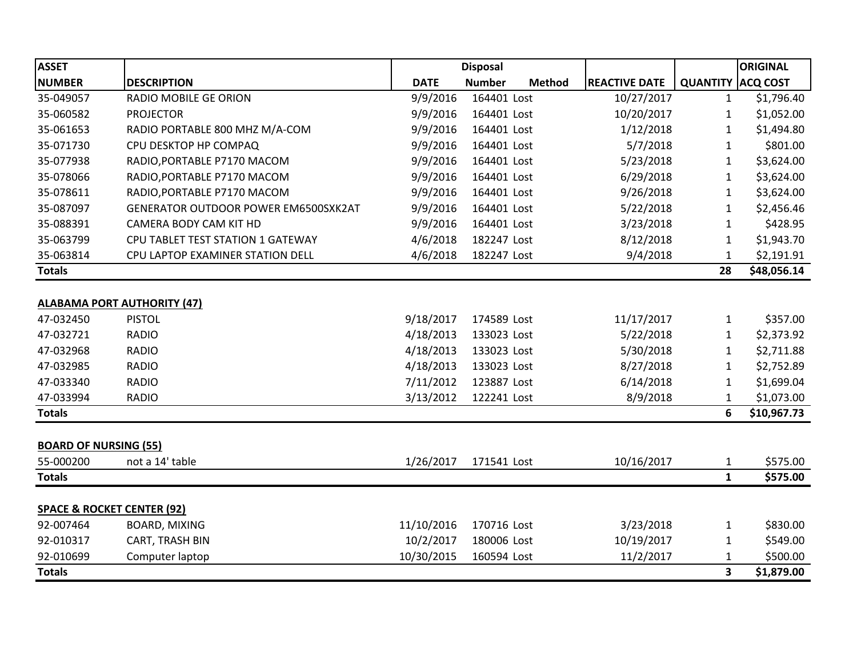| <b>ASSET</b>                          |                                      | <b>Disposal</b> |               |               |                      | <b>ORIGINAL</b> |                 |
|---------------------------------------|--------------------------------------|-----------------|---------------|---------------|----------------------|-----------------|-----------------|
| <b>NUMBER</b>                         | <b>DESCRIPTION</b>                   | <b>DATE</b>     | <b>Number</b> | <b>Method</b> | <b>REACTIVE DATE</b> | <b>QUANTITY</b> | <b>ACQ COST</b> |
| 35-049057                             | <b>RADIO MOBILE GE ORION</b>         | 9/9/2016        | 164401 Lost   |               | 10/27/2017           | 1               | \$1,796.40      |
| 35-060582                             | <b>PROJECTOR</b>                     | 9/9/2016        | 164401 Lost   |               | 10/20/2017           | 1               | \$1,052.00      |
| 35-061653                             | RADIO PORTABLE 800 MHZ M/A-COM       | 9/9/2016        | 164401 Lost   |               | 1/12/2018            | 1               | \$1,494.80      |
| 35-071730                             | CPU DESKTOP HP COMPAQ                | 9/9/2016        | 164401 Lost   |               | 5/7/2018             | $\mathbf{1}$    | \$801.00        |
| 35-077938                             | RADIO, PORTABLE P7170 MACOM          | 9/9/2016        | 164401 Lost   |               | 5/23/2018            | $\mathbf{1}$    | \$3,624.00      |
| 35-078066                             | RADIO, PORTABLE P7170 MACOM          | 9/9/2016        | 164401 Lost   |               | 6/29/2018            | 1               | \$3,624.00      |
| 35-078611                             | RADIO, PORTABLE P7170 MACOM          | 9/9/2016        | 164401 Lost   |               | 9/26/2018            | 1               | \$3,624.00      |
| 35-087097                             | GENERATOR OUTDOOR POWER EM6500SXK2AT | 9/9/2016        | 164401 Lost   |               | 5/22/2018            | 1               | \$2,456.46      |
| 35-088391                             | CAMERA BODY CAM KIT HD               | 9/9/2016        | 164401 Lost   |               | 3/23/2018            | $\mathbf{1}$    | \$428.95        |
| 35-063799                             | CPU TABLET TEST STATION 1 GATEWAY    | 4/6/2018        | 182247 Lost   |               | 8/12/2018            | 1               | \$1,943.70      |
| 35-063814                             | CPU LAPTOP EXAMINER STATION DELL     | 4/6/2018        | 182247 Lost   |               | 9/4/2018             | 1               | \$2,191.91      |
| <b>Totals</b>                         |                                      |                 |               |               |                      | 28              | \$48,056.14     |
|                                       |                                      |                 |               |               |                      |                 |                 |
| <b>ALABAMA PORT AUTHORITY (47)</b>    |                                      |                 |               |               |                      |                 |                 |
| 47-032450                             | <b>PISTOL</b>                        | 9/18/2017       | 174589 Lost   |               | 11/17/2017           | $\mathbf{1}$    | \$357.00        |
| 47-032721                             | <b>RADIO</b>                         | 4/18/2013       | 133023 Lost   |               | 5/22/2018            | $\mathbf{1}$    | \$2,373.92      |
| 47-032968                             | <b>RADIO</b>                         | 4/18/2013       | 133023 Lost   |               | 5/30/2018            | 1               | \$2,711.88      |
| 47-032985                             | <b>RADIO</b>                         | 4/18/2013       | 133023 Lost   |               | 8/27/2018            | 1               | \$2,752.89      |
| 47-033340                             | <b>RADIO</b>                         | 7/11/2012       | 123887 Lost   |               | 6/14/2018            | 1               | \$1,699.04      |
| 47-033994                             | <b>RADIO</b>                         | 3/13/2012       | 122241 Lost   |               | 8/9/2018             | 1               | \$1,073.00      |
| <b>Totals</b>                         |                                      |                 |               |               |                      | 6               | \$10,967.73     |
|                                       |                                      |                 |               |               |                      |                 |                 |
| <b>BOARD OF NURSING (55)</b>          |                                      |                 |               |               |                      |                 |                 |
| 55-000200                             | not a 14' table                      | 1/26/2017       | 171541 Lost   |               | 10/16/2017           | 1               | \$575.00        |
| <b>Totals</b>                         |                                      |                 |               |               |                      | $\mathbf{1}$    | \$575.00        |
|                                       |                                      |                 |               |               |                      |                 |                 |
| <b>SPACE &amp; ROCKET CENTER (92)</b> |                                      |                 |               |               |                      |                 |                 |
| 92-007464                             | <b>BOARD, MIXING</b>                 | 11/10/2016      | 170716 Lost   |               | 3/23/2018            | $\mathbf{1}$    | \$830.00        |
| 92-010317                             | CART, TRASH BIN                      | 10/2/2017       | 180006 Lost   |               | 10/19/2017           | 1               | \$549.00        |
| 92-010699                             | Computer laptop                      | 10/30/2015      | 160594 Lost   |               | 11/2/2017            | 1               | \$500.00        |
| <b>Totals</b>                         |                                      |                 |               |               |                      | 3               | \$1,879.00      |